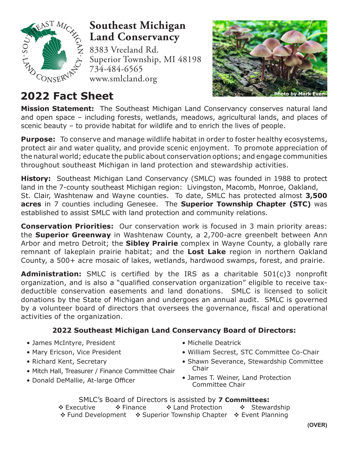

## **Southeast Michigan Land Conservancy**

8383 Vreeland Rd. Superior Township, MI 48198 734-484-6565 www.smlcland.org



**Mission Statement:** The Southeast Michigan Land Conservancy conserves natural land and open space – including forests, wetlands, meadows, agricultural lands, and places of scenic beauty – to provide habitat for wildlife and to enrich the lives of people.

**Purpose:** To conserve and manage wildlife habitat in order to foster healthy ecosystems, protect air and water quality, and provide scenic enjoyment. To promote appreciation of the natural world; educate the public about conservation options; and engage communities throughout southeast Michigan in land protection and stewardship activities.

**History:** Southeast Michigan Land Conservancy (SMLC) was founded in 1988 to protect land in the 7-county southeast Michigan region: Livingston, Macomb, Monroe, Oakland, St. Clair, Washtenaw and Wayne counties. To date, SMLC has protected almost **3,500 acres** in 7 counties including Genesee. The **Superior Township Chapter (STC)** was established to assist SMLC with land protection and community relations.

**Conservation Priorities:** Our conservation work is focused in 3 main priority areas: the **Superior Greenway** in Washtenaw County, a 2,700-acre greenbelt between Ann Arbor and metro Detroit; the **Sibley Prairie** complex in Wayne County, a globally rare remnant of lakeplain prairie habitat; and the **Lost Lake** region in northern Oakland County, a 500+ acre mosaic of lakes, wetlands, hardwood swamps, forest, and prairie.

**Administration:** SMLC is certified by the IRS as a charitable 501(c)3 nonprofit organization, and is also a "qualified conservation organization" eligible to receive taxdeductible conservation easements and land donations. SMLC is licensed to solicit donations by the State of Michigan and undergoes an annual audit. SMLC is governed by a volunteer board of directors that oversees the governance, fiscal and operational activities of the organization.

### **2022 Southeast Michigan Land Conservancy Board of Directors:**

- James McIntyre, President
- Mary Ericson, Vice President
- Richard Kent, Secretary
- Mitch Hall, Treasurer / Finance Committee Chair
- Donald DeMallie, At-large Officer
- Michelle Deatrick
- William Secrest, STC Committee Co-Chair
- Shawn Severance, Stewardship Committee Chair
- James T. Weiner, Land Protection Committee Chair

SMLC's Board of Directors is assisted by **7 Committees: Executive • Inance • Inden Protection • Stewardship** Fund Development Superior Township Chapter Event Planning